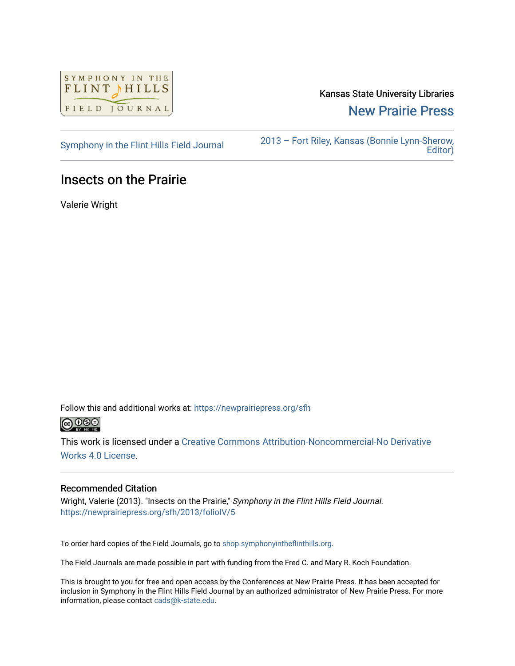

Kansas State University Libraries [New Prairie Press](https://newprairiepress.org/) 

[Symphony in the Flint Hills Field Journal](https://newprairiepress.org/sfh) [2013 – Fort Riley, Kansas \(Bonnie Lynn-Sherow,](https://newprairiepress.org/sfh/2013)  [Editor\)](https://newprairiepress.org/sfh/2013) 

## Insects on the Prairie

Valerie Wright

Follow this and additional works at: [https://newprairiepress.org/sfh](https://newprairiepress.org/sfh?utm_source=newprairiepress.org%2Fsfh%2F2013%2FfolioIV%2F5&utm_medium=PDF&utm_campaign=PDFCoverPages)



This work is licensed under a [Creative Commons Attribution-Noncommercial-No Derivative](http://creativecommons.org/licenses/by-nc-nd/4.0/)  [Works 4.0 License](http://creativecommons.org/licenses/by-nc-nd/4.0/).

### Recommended Citation

Wright, Valerie (2013). "Insects on the Prairie," Symphony in the Flint Hills Field Journal. <https://newprairiepress.org/sfh/2013/folioIV/5>

To order hard copies of the Field Journals, go to [shop.symphonyintheflinthills.org.](http://shop.symphonyintheflinthills.org/)

The Field Journals are made possible in part with funding from the Fred C. and Mary R. Koch Foundation.

This is brought to you for free and open access by the Conferences at New Prairie Press. It has been accepted for inclusion in Symphony in the Flint Hills Field Journal by an authorized administrator of New Prairie Press. For more information, please contact [cads@k-state.edu](mailto:cads@k-state.edu).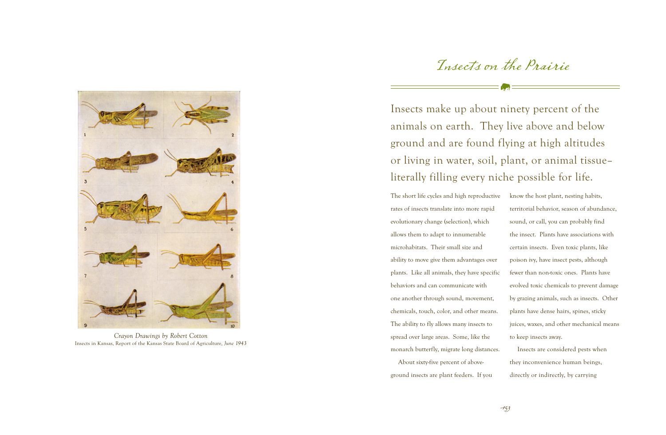# Insects on the Prairie

Insects make up about ninety percent of the animals on earth. They live above and below ground and are found flying at high altitudes or living in water, soil, plant, or animal tissue– literally filling every niche possible for life.

The short life cycles and high reproductive rates of insects translate into more rapid evolutionary change (selection), which allows them to adapt to innumerable microhabitats. Their small size and ability to move give them advantages over plants. Like all animals, they have specific behaviors and can communicate with one another through sound, movement, chemicals, touch, color, and other means. The ability to fly allows many insects to spread over large areas. Some, like the monarch butterfly, migrate long distances. About sixty-five percent of above-

ground insects are plant feeders. If you

know the host plant, nesting habits, territorial behavior, season of abundance, sound, or call, you can probably find the insect. Plants have associations with certain insects. Even toxic plants, like poison ivy, have insect pests, although fewer than non-toxic ones. Plants have evolved toxic chemicals to prevent damage by grazing animals, such as insects. Other plants have dense hairs, spines, sticky juices, waxes, and other mechanical means to keep insects away.

Insects are considered pests when they inconvenience human beings, directly or indirectly, by carrying



*Crayon Drawings by Robert Cotton* Insects in Kansas, Report of the Kansas State Board of Agriculture*, June 1943*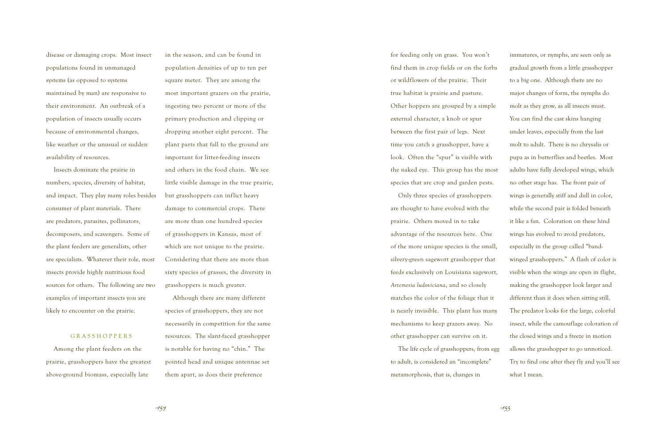disease or damaging crops. Most insect populations found in unmanaged systems (as opposed to systems maintained by man) are responsive to their environment. An outbreak of a population of insects usually occurs because of environmental changes, like weather or the unusual or sudden availability of resources.

Insects dominate the prairie in numbers, species, diversity of habitat, and impact. They play many roles besides consumer of plant materials. There are predators, parasites, pollinators, decomposers, and scavengers. Some of the plant feeders are generalists, other are specialists. Whatever their role, most insects provide highly nutritious food sources for others. The following are two examples of important insects you are likely to encounter on the prairie.

### **GRASSHOPPERS**

Among the plant feeders on the prairie, grasshoppers have the greatest above-ground biomass, especially late

in the season, and can be found in population densities of up to ten per square meter. They are among the most important grazers on the prairie, ingesting two percent or more of the primary production and clipping or dropping another eight percent. The plant parts that fall to the ground are important for litter-feeding insects and others in the food chain. We see little visible damage in the true prairie, but grasshoppers can inflict heavy damage to commercial crops. There are more than one hundred species of grasshoppers in Kansas, most of which are not unique to the prairie. Considering that there are more than sixty species of grasses, the diversity in grasshoppers is much greater. Although there are many different species of grasshoppers, they are not necessarily in competition for the same resources. The slant-faced grasshopper is notable for having no "chin." The

pointed head and unique antennae set them apart, as does their preference

for feeding only on grass. You won't find them in crop fields or on the forbs or wildflowers of the prairie. Their true habitat is prairie and pasture. Other hoppers are grouped by a simple external character, a knob or spur between the first pair of legs. Next time you catch a grasshopper, have a look. Often the "spur" is visible with the naked eye. This group has the most species that are crop and garden pests.

Only three species of grasshoppers are thought to have evolved with the prairie. Others moved in to take advantage of the resources here. One of the more unique species is the small, silvery-green sagewort grasshopper that feeds exclusively on Louisiana sagewort, *Artemesia ludoviciana*, and so closely matches the color of the foliage that it is nearly invisible. This plant has many mechanisms to keep grazers away. No other grasshopper can survive on it.

The life cycle of grasshoppers, from egg to adult, is considered an "incomplete" metamorphosis, that is, changes in

immatures, or nymphs, are seen only as gradual growth from a little grasshopper to a big one. Although there are no major changes of form, the nymphs do molt as they grow, as all insects must. You can find the cast skins hanging under leaves, especially from the last molt to adult. There is no chrysalis or pupa as in butterflies and beetles. Most adults have fully developed wings, which no other stage has. The front pair of wings is generally stiff and dull in color, while the second pair is folded beneath it like a fan. Coloration on these hind wings has evolved to avoid predators, especially in the group called "bandwinged grasshoppers." A flash of color is visible when the wings are open in flight, making the grasshopper look larger and different than it does when sitting still. The predator looks for the large, colorful insect, while the camouflage coloration of the closed wings and a freeze in motion allows the grasshopper to go unnoticed. Try to find one after they fly and you'll see what I mean.